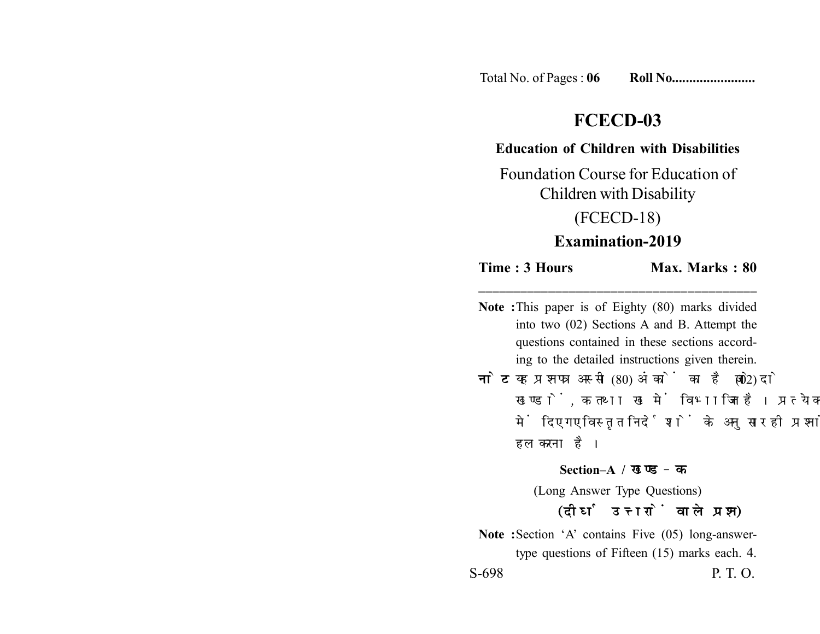Total No. of Pages : **06 Roll No........................**

# **FCECD-03**

#### **Education of Children with Disabilities**

Foundation Course for Education of Children with Disability

(FCECD-18)

## **Examination-2019**

### **Time : 3 Hours Max. Marks : 80 \_\_\_\_\_\_\_\_\_\_\_\_\_\_\_\_\_\_\_\_\_\_\_\_\_\_\_\_\_\_\_\_\_\_\_\_\_\_\_\_**

**Note :**This paper is of Eighty (80) marks divided into two (02) Sections A and B. Attempt the questions contained in these sections according to the detailed instructions given therein. **नोट:** यह प्रश्नपत्र अस्सी (80) अंकों का है जो दो (02) खण्डों, क तथा ख में विभाजित है। प्रत्येक खण्ड में दिए गए विस्तृत निर्देशों के अनुसार ही प्रश्नों को हल करना है। **Section–A /**  (Long Answer Type Questions) (दीर्घ उत्तरों वाले प्रश्न) Note :Section 'A' contains Five (05) long-answertype questions of Fifteen (15) marks each. 4.

S-698 P. T. O.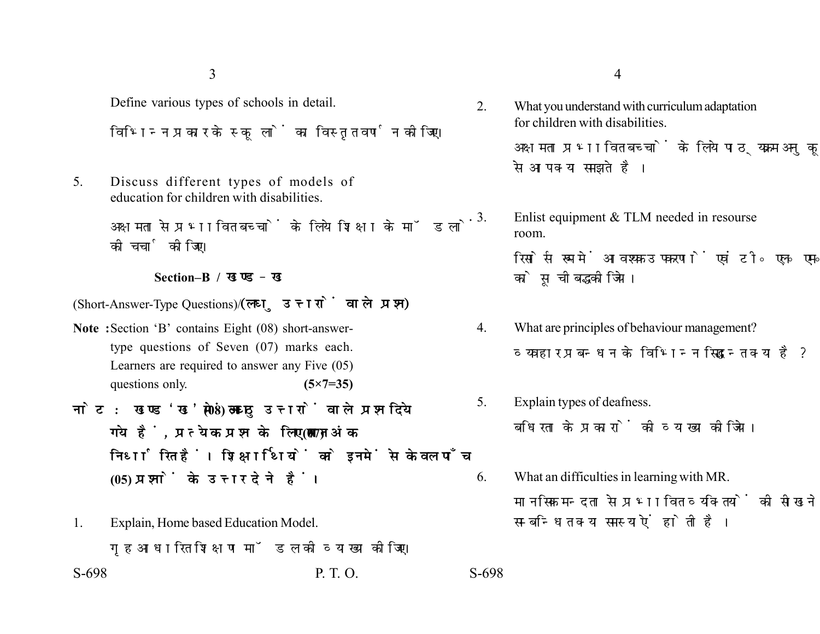3

Define various types of schools in detail. विभिन्न प्रकार के स्कूलों का विस्तृत वर्णन कीजिए।

5. Discuss different types of models of education for children with disabilities.

> अक्षमता से प्रभावित बच्चों के लिये शिक्षा के मॉडलों की चर्चा कीजिए।

#### **Section–B /**

(Short-Answer-Type Questions)/(लघु उत्तरों वाले प्रश्न)

- **Note :**Section 'B' contains Eight (08) short-answertype questions of Seven (07) marks each. Learners are required to answer any Five (05) questions only. **(5×7=35)**
- नोट: खण्ड 'ख' में आठ (08) लघु उत्तरों वाले प्रश्न दिये गये हैं, प्रत्येक प्रश्न के लिए सात (07) अंक निर्धारित हैं। शिक्षार्थियों को इनमें से केवल पाँच **(05) प्रश्नों के उत्तर देने हैं।**
- S-698 P. T. O. S-698 1. Explain, Home based Education Model. गृह आधारित शिक्षण मॉडल की व्याख्या कोजिए।

2. What you understand with curriculum adaptation for children with disabilities.

> अक्षमता प्रभावित बच्चों के लिये पाठ्यक्रम अनुकुलन से आप क्या समझते है।

3. Enlist equipment & TLM needed in resourse room.

> रिसोर्स रूम में आवश्यक उपकरणों एवं टी॰ एल॰ एम॰ को सचीबद्ध कीजिये।

- 4. What are principles of behaviour management? व्यवहार प्रबन्धन के विभिन्न सिद्धान्त क्या है?
- 5. Explain types of deafness. बधिरता के प्रकारों की व्याख्या कीजिये।
- 6. What an difficulties in learning with MR. मानसिक मन्दता से प्रभावित व्यक्तियों की सीखने से सम्बन्धित क्या समस्याऐं होती है।